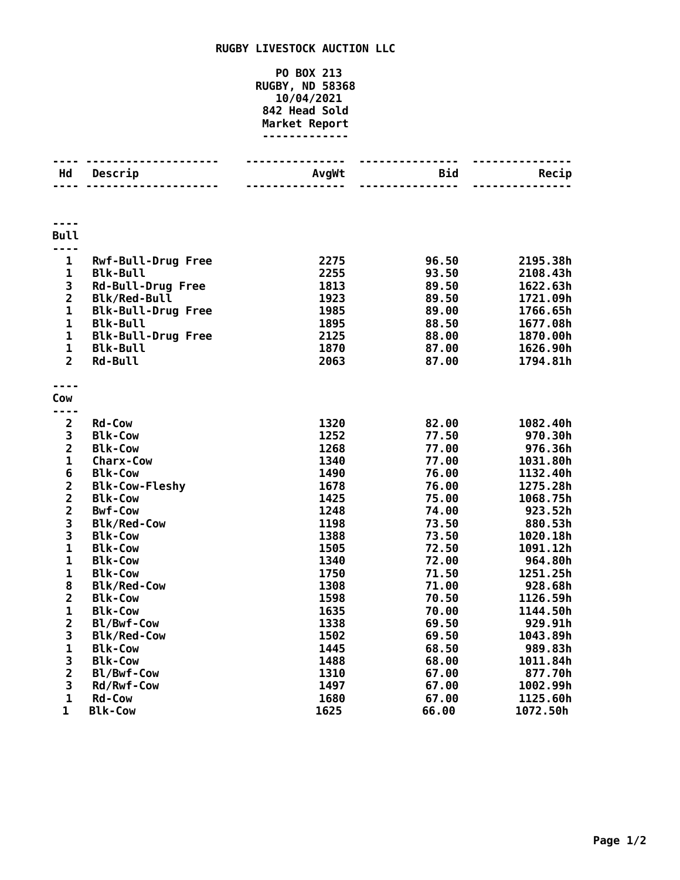## **RUGBY LIVESTOCK AUCTION LLC**

## **PO BOX 213 RUGBY, ND 58368 10/04/2021 Head Sold Market Report -------------**

| Hd                                    | Descrip                   | <b>AvgWt</b> | Bid   | Recip    |
|---------------------------------------|---------------------------|--------------|-------|----------|
|                                       | .                         |              |       |          |
|                                       |                           |              |       |          |
|                                       |                           |              |       |          |
|                                       |                           |              |       |          |
| <b>Bull</b>                           |                           |              |       |          |
| ----                                  |                           |              |       |          |
| $\mathbf{1}$                          | <b>Rwf-Bull-Drug Free</b> | 2275         | 96.50 | 2195.38h |
| $\mathbf{1}$                          | <b>Blk-Bull</b>           | 2255         | 93.50 | 2108.43h |
| 3                                     | <b>Rd-Bull-Drug Free</b>  | 1813         | 89.50 | 1622.63h |
| $\overline{2}$                        | <b>Blk/Red-Bull</b>       | 1923         | 89.50 | 1721.09h |
| $\mathbf{1}$                          | <b>Blk-Bull-Drug Free</b> | 1985         | 89.00 | 1766.65h |
| $\mathbf{1}$                          | <b>Blk-Bull</b>           | 1895         | 88.50 | 1677.08h |
| $\mathbf{1}$                          | <b>Blk-Bull-Drug Free</b> | 2125         | 88.00 | 1870.00h |
| $\mathbf{1}$                          | <b>Blk-Bull</b>           | 1870         | 87.00 | 1626.90h |
| $\overline{2}$                        | Rd-Bull                   | 2063         | 87.00 | 1794.81h |
|                                       |                           |              |       |          |
|                                       |                           |              |       |          |
| Cow                                   |                           |              |       |          |
|                                       |                           |              |       |          |
| $\overline{2}$                        | <b>Rd-Cow</b>             | 1320         | 82.00 | 1082.40h |
| 3                                     | <b>Blk-Cow</b>            | 1252         | 77.50 | 970.30h  |
| $\overline{2}$                        | <b>Blk-Cow</b>            | 1268         | 77.00 | 976.36h  |
| $\mathbf{1}$                          | <b>Charx-Cow</b>          | 1340         | 77.00 | 1031.80h |
| $6\phantom{1}$                        | <b>Blk-Cow</b>            | 1490         | 76.00 | 1132.40h |
|                                       | <b>Blk-Cow-Fleshy</b>     | 1678         | 76.00 | 1275.28h |
| $\begin{array}{c} 2 \\ 2 \end{array}$ | <b>Blk-Cow</b>            | 1425         | 75.00 | 1068.75h |
| $\overline{\mathbf{c}}$               | <b>Bwf-Cow</b>            | 1248         | 74.00 | 923.52h  |
| 3                                     | <b>Blk/Red-Cow</b>        | 1198         | 73.50 | 880.53h  |
| 3                                     | <b>Blk-Cow</b>            | 1388         | 73.50 | 1020.18h |
| $\mathbf{1}$                          | <b>Blk-Cow</b>            | 1505         | 72.50 | 1091.12h |
| $\mathbf{1}$                          | <b>Blk-Cow</b>            | 1340         | 72.00 | 964.80h  |
| $\mathbf{1}$                          | <b>Blk-Cow</b>            | 1750         | 71.50 | 1251.25h |
| 8                                     | <b>Blk/Red-Cow</b>        | 1308         | 71.00 | 928.68h  |
| $\overline{2}$                        | <b>Blk-Cow</b>            | 1598         | 70.50 | 1126.59h |
| $\mathbf{1}$                          | <b>Blk-Cow</b>            | 1635         | 70.00 | 1144.50h |
| $\overline{\mathbf{c}}$               | Bl/Bwf-Cow                | 1338         | 69.50 | 929.91h  |
| 3                                     | <b>Blk/Red-Cow</b>        | 1502         | 69.50 | 1043.89h |
| $\mathbf 1$                           | <b>Blk-Cow</b>            | 1445         | 68.50 | 989.83h  |
| 3                                     | <b>Blk-Cow</b>            | 1488         | 68.00 | 1011.84h |
| $\overline{2}$                        | Bl/Bwf-Cow                | 1310         | 67.00 | 877.70h  |
| 3                                     | Rd/Rwf-Cow                | 1497         | 67.00 | 1002.99h |
| $\mathbf{1}$                          | Rd-Cow                    | 1680         | 67.00 | 1125.60h |
| 1                                     | <b>Blk-Cow</b>            | 1625         | 66.00 | 1072.50h |
|                                       |                           |              |       |          |